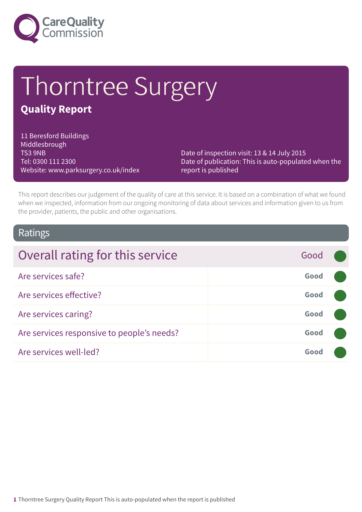

# Thorntree Surgery

### **Quality Report**

11 Beresford Buildings Middlesbrough TS3 9NB Tel: 0300 111 2300 Website: www.parksurgery.co.uk/index

Date of inspection visit: 13 & 14 July 2015 Date of publication: This is auto-populated when the report is published

This report describes our judgement of the quality of care at this service. It is based on a combination of what we found when we inspected, information from our ongoing monitoring of data about services and information given to us from the provider, patients, the public and other organisations.

### Ratings

| Overall rating for this service            | Good |  |
|--------------------------------------------|------|--|
|                                            |      |  |
| Are services safe?                         | Good |  |
| Are services effective?                    | Good |  |
| Are services caring?                       | Good |  |
| Are services responsive to people's needs? | Good |  |
| Are services well-led?                     | Good |  |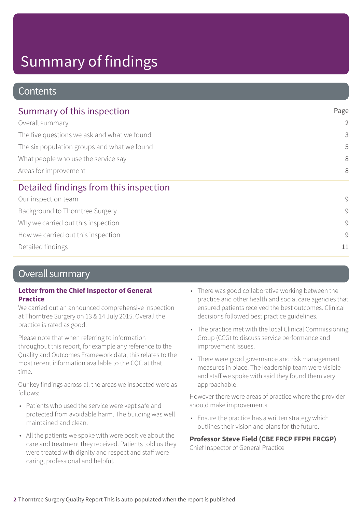# Summary of findings

### **Contents**

| Summary of this inspection                  | Page           |
|---------------------------------------------|----------------|
| Overall summary                             | $\overline{2}$ |
| The five questions we ask and what we found | 3              |
| The six population groups and what we found | 5              |
| What people who use the service say         | 8              |
| Areas for improvement                       | 8              |
| Detailed findings from this inspection      |                |
| Our inspection team                         | 9              |
| Background to Thorntree Surgery             | $\overline{9}$ |
| Why we carried out this inspection          | $\overline{9}$ |
| How we carried out this inspection          | 9              |
| Detailed findings                           | 11             |

### Overall summary

### **Letter from the Chief Inspector of General Practice**

We carried out an announced comprehensive inspection at Thorntree Surgery on 13 & 14 July 2015. Overall the practice is rated as good.

Please note that when referring to information throughout this report, for example any reference to the Quality and Outcomes Framework data, this relates to the most recent information available to the CQC at that time.

Our key findings across all the areas we inspected were as follows;

- Patients who used the service were kept safe and protected from avoidable harm. The building was well maintained and clean.
- All the patients we spoke with were positive about the care and treatment they received. Patients told us they were treated with dignity and respect and staff were caring, professional and helpful.
- There was good collaborative working between the practice and other health and social care agencies that ensured patients received the best outcomes. Clinical decisions followed best practice guidelines.
- The practice met with the local Clinical Commissioning Group (CCG) to discuss service performance and improvement issues.
- There were good governance and risk management measures in place. The leadership team were visible and staff we spoke with said they found them very approachable.

However there were areas of practice where the provider should make improvements

• Ensure the practice has a written strategy which outlines their vision and plans for the future.

### **Professor Steve Field (CBE FRCP FFPH FRCGP)**

Chief Inspector of General Practice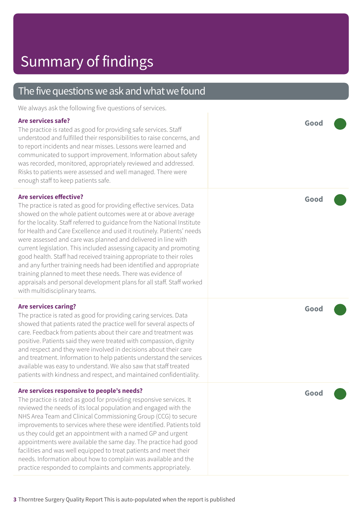| The five questions we ask and what we found |  |  |  |
|---------------------------------------------|--|--|--|
|---------------------------------------------|--|--|--|

We always ask the following five questions of services.

#### **Are services safe?**

The practice is rated as good for providing safe services. Staff understood and fulfilled their responsibilities to raise concerns, and to report incidents and near misses. Lessons were learned and communicated to support improvement. Information about safety was recorded, monitored, appropriately reviewed and addressed. Risks to patients were assessed and well managed. There were enough staff to keep patients safe.

### **Are services effective?**

The practice is rated as good for providing effective services. Data showed on the whole patient outcomes were at or above average for the locality. Staff referred to guidance from the National Institute for Health and Care Excellence and used it routinely. Patients' needs were assessed and care was planned and delivered in line with current legislation. This included assessing capacity and promoting good health. Staff had received training appropriate to their roles and any further training needs had been identified and appropriate training planned to meet these needs. There was evidence of appraisals and personal development plans for all staff. Staff worked with multidisciplinary teams.

#### **Are services caring?**

The practice is rated as good for providing caring services. Data showed that patients rated the practice well for several aspects of care. Feedback from patients about their care and treatment was positive. Patients said they were treated with compassion, dignity and respect and they were involved in decisions about their care and treatment. Information to help patients understand the services available was easy to understand. We also saw that staff treated patients with kindness and respect, and maintained confidentiality.

#### **Are services responsive to people's needs?**

The practice is rated as good for providing responsive services. It reviewed the needs of its local population and engaged with the NHS Area Team and Clinical Commissioning Group (CCG) to secure improvements to services where these were identified. Patients told us they could get an appointment with a named GP and urgent appointments were available the same day. The practice had good facilities and was well equipped to treat patients and meet their needs. Information about how to complain was available and the practice responded to complaints and comments appropriately.

**Good –––**

**Good –––**

**Good –––**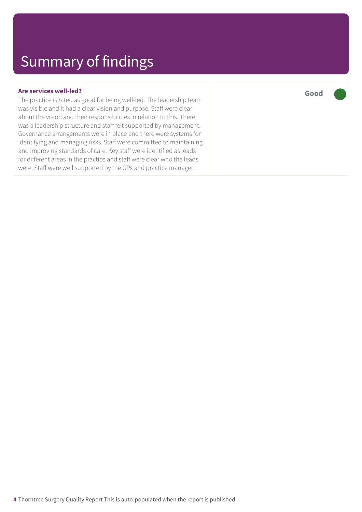### **Are services well-led?**

The practice is rated as good for being well-led. The leadership team was visible and it had a clear vision and purpose. Staff were clear about the vision and their responsibilities in relation to this. There was a leadership structure and staff felt supported by management. Governance arrangements were in place and there were systems for identifying and managing risks. Staff were committed to maintaining and improving standards of care. Key staff were identified as leads for different areas in the practice and staff were clear who the leads were. Staff were well supported by the GPs and practice manager.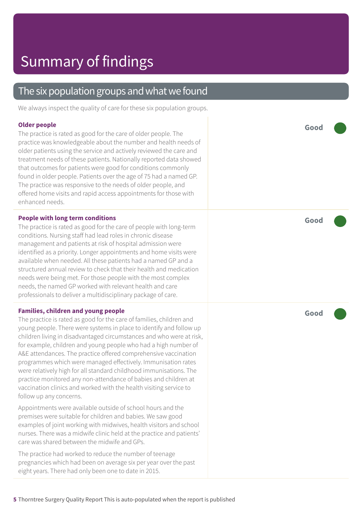### The six population groups and what we found

We always inspect the quality of care for these six population groups.

### **Older people**

The practice is rated as good for the care of older people. The practice was knowledgeable about the number and health needs of older patients using the service and actively reviewed the care and treatment needs of these patients. Nationally reported data showed that outcomes for patients were good for conditions commonly found in older people. Patients over the age of 75 had a named GP. The practice was responsive to the needs of older people, and offered home visits and rapid access appointments for those with enhanced needs.

### **People with long term conditions**

The practice is rated as good for the care of people with long-term conditions. Nursing staff had lead roles in chronic disease management and patients at risk of hospital admission were identified as a priority. Longer appointments and home visits were available when needed. All these patients had a named GP and a structured annual review to check that their health and medication needs were being met. For those people with the most complex needs, the named GP worked with relevant health and care professionals to deliver a multidisciplinary package of care.

### **Families, children and young people**

The practice is rated as good for the care of families, children and young people. There were systems in place to identify and follow up children living in disadvantaged circumstances and who were at risk, for example, children and young people who had a high number of A&E attendances. The practice offered comprehensive vaccination programmes which were managed effectively. Immunisation rates were relatively high for all standard childhood immunisations. The practice monitored any non-attendance of babies and children at vaccination clinics and worked with the health visiting service to follow up any concerns.

Appointments were available outside of school hours and the premises were suitable for children and babies. We saw good examples of joint working with midwives, health visitors and school nurses. There was a midwife clinic held at the practice and patients' care was shared between the midwife and GPs.

The practice had worked to reduce the number of teenage pregnancies which had been on average six per year over the past eight years. There had only been one to date in 2015.

**Good –––**

**Good –––**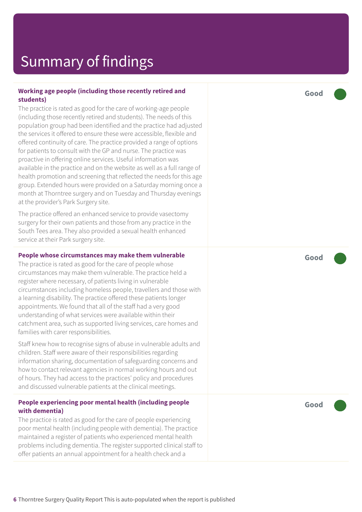# Summary of findings

### **Working age people (including those recently retired and students)**

The practice is rated as good for the care of working-age people (including those recently retired and students). The needs of this population group had been identified and the practice had adjusted the services it offered to ensure these were accessible, flexible and offered continuity of care. The practice provided a range of options for patients to consult with the GP and nurse. The practice was proactive in offering online services. Useful information was available in the practice and on the website as well as a full range of health promotion and screening that reflected the needs for this age group. Extended hours were provided on a Saturday morning once a month at Thorntree surgery and on Tuesday and Thursday evenings at the provider's Park Surgery site.

The practice offered an enhanced service to provide vasectomy surgery for their own patients and those from any practice in the South Tees area. They also provided a sexual health enhanced service at their Park surgery site.

#### **People whose circumstances may make them vulnerable**

The practice is rated as good for the care of people whose circumstances may make them vulnerable. The practice held a register where necessary, of patients living in vulnerable circumstances including homeless people, travellers and those with a learning disability. The practice offered these patients longer appointments. We found that all of the staff had a very good understanding of what services were available within their catchment area, such as supported living services, care homes and families with carer responsibilities.

Staff knew how to recognise signs of abuse in vulnerable adults and children. Staff were aware of their responsibilities regarding information sharing, documentation of safeguarding concerns and how to contact relevant agencies in normal working hours and out of hours. They had access to the practices' policy and procedures and discussed vulnerable patients at the clinical meetings.

### **People experiencing poor mental health (including people with dementia)**

The practice is rated as good for the care of people experiencing poor mental health (including people with dementia). The practice maintained a register of patients who experienced mental health problems including dementia. The register supported clinical staff to offer patients an annual appointment for a health check and a

**Good –––**

**Good –––**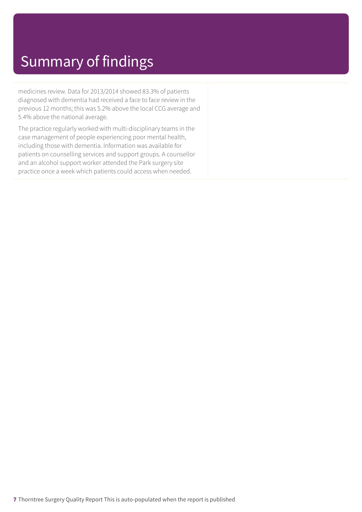# Summary of findings

medicines review. Data for 2013/2014 showed 83.3% of patients diagnosed with dementia had received a face to face review in the previous 12 months; this was 5.2% above the local CCG average and 5.4% above the national average.

The practice regularly worked with multi-disciplinary teams in the case management of people experiencing poor mental health, including those with dementia. Information was available for patients on counselling services and support groups. A counsellor and an alcohol support worker attended the Park surgery site practice once a week which patients could access when needed.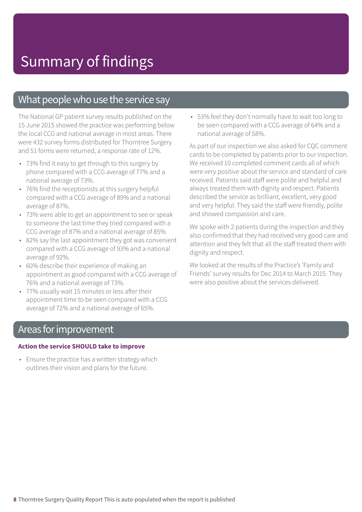### What people who use the service say

The National GP patient survey results published on the 15 June 2015 showed the practice was performing below the local CCG and national average in most areas. There were 432 survey forms distributed for Thorntree Surgery and 51 forms were returned, a response rate of 12%.

- 73% find it easy to get through to this surgery by phone compared with a CCG average of 77% and a national average of 73%.
- 76% find the receptionists at this surgery helpful compared with a CCG average of 89% and a national average of 87%.
- 73% were able to get an appointment to see or speak to someone the last time they tried compared with a CCG average of 87% and a national average of 85%.
- 82% say the last appointment they got was convenient compared with a CCG average of 93% and a national average of 92%.
- 60% describe their experience of making an appointment as good compared with a CCG average of 76% and a national average of 73%.
- 77% usually wait 15 minutes or less after their appointment time to be seen compared with a CCG average of 72% and a national average of 65%.

• 53% feel they don't normally have to wait too long to be seen compared with a CCG average of 64% and a national average of 58%.

As part of our inspection we also asked for CQC comment cards to be completed by patients prior to our inspection. We received 10 completed comment cards all of which were very positive about the service and standard of care received. Patients said staff were polite and helpful and always treated them with dignity and respect. Patients described the service as brilliant, excellent, very good and very helpful. They said the staff were friendly, polite and showed compassion and care.

We spoke with 2 patients during the inspection and they also confirmed that they had received very good care and attention and they felt that all the staff treated them with dignity and respect.

We looked at the results of the Practice's 'Family and Friends' survey results for Dec 2014 to March 2015. They were also positive about the services delivered.

### Areas for improvement

#### **Action the service SHOULD take to improve**

• Ensure the practice has a written strategy which outlines their vision and plans for the future.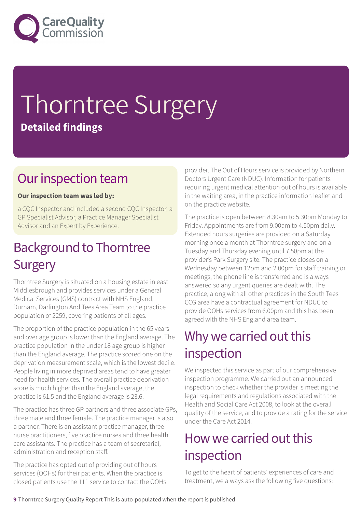

# Thorntree Surgery **Detailed findings**

### Our inspection team

### **Our inspection team was led by:**

a CQC Inspector and included a second CQC Inspector, a GP Specialist Advisor, a Practice Manager Specialist Advisor and an Expert by Experience.

### **Background to Thorntree Surgery**

Thorntree Surgery is situated on a housing estate in east Middlesbrough and provides services under a General Medical Services (GMS) contract with NHS England, Durham, Darlington And Tees Area Team to the practice population of 2259, covering patients of all ages.

The proportion of the practice population in the 65 years and over age group is lower than the England average. The practice population in the under 18 age group is higher than the England average. The practice scored one on the deprivation measurement scale, which is the lowest decile. People living in more deprived areas tend to have greater need for health services. The overall practice deprivation score is much higher than the England average, the practice is 61.5 and the England average is 23.6.

The practice has three GP partners and three associate GPs, three male and three female. The practice manager is also a partner. There is an assistant practice manager, three nurse practitioners, five practice nurses and three health care assistants. The practice has a team of secretarial, administration and reception staff.

The practice has opted out of providing out of hours services (OOHs) for their patients. When the practice is closed patients use the 111 service to contact the OOHs provider. The Out of Hours service is provided by Northern Doctors Urgent Care (NDUC). Information for patients requiring urgent medical attention out of hours is available in the waiting area, in the practice information leaflet and on the practice website.

The practice is open between 8.30am to 5.30pm Monday to Friday. Appointments are from 9.00am to 4.50pm daily. Extended hours surgeries are provided on a Saturday morning once a month at Thorntree surgery and on a Tuesday and Thursday evening until 7.50pm at the provider's Park Surgery site. The practice closes on a Wednesday between 12pm and 2.00pm for staff training or meetings, the phone line is transferred and is always answered so any urgent queries are dealt with. The practice, along with all other practices in the South Tees CCG area have a contractual agreement for NDUC to provide OOHs services from 6.00pm and this has been agreed with the NHS England area team.

### Why we carried out this inspection

We inspected this service as part of our comprehensive inspection programme. We carried out an announced inspection to check whether the provider is meeting the legal requirements and regulations associated with the Health and Social Care Act 2008, to look at the overall quality of the service, and to provide a rating for the service under the Care Act 2014.

### How we carried out this inspection

To get to the heart of patients' experiences of care and treatment, we always ask the following five questions: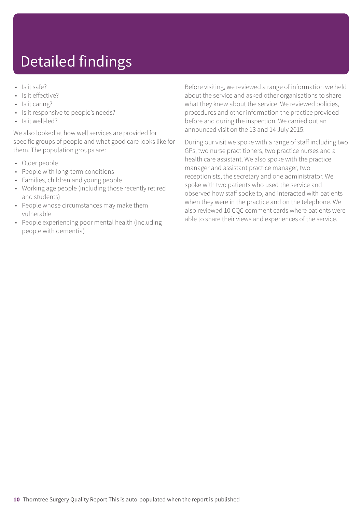# Detailed findings

- Is it safe?
- Is it effective?
- Is it caring?
- Is it responsive to people's needs?
- Is it well-led?

We also looked at how well services are provided for specific groups of people and what good care looks like for them. The population groups are:

- Older people
- People with long-term conditions
- Families, children and young people
- Working age people (including those recently retired and students)
- People whose circumstances may make them vulnerable
- People experiencing poor mental health (including people with dementia)

Before visiting, we reviewed a range of information we held about the service and asked other organisations to share what they knew about the service. We reviewed policies, procedures and other information the practice provided before and during the inspection. We carried out an announced visit on the 13 and 14 July 2015.

During our visit we spoke with a range of staff including two GPs, two nurse practitioners, two practice nurses and a health care assistant. We also spoke with the practice manager and assistant practice manager, two receptionists, the secretary and one administrator. We spoke with two patients who used the service and observed how staff spoke to, and interacted with patients when they were in the practice and on the telephone. We also reviewed 10 CQC comment cards where patients were able to share their views and experiences of the service.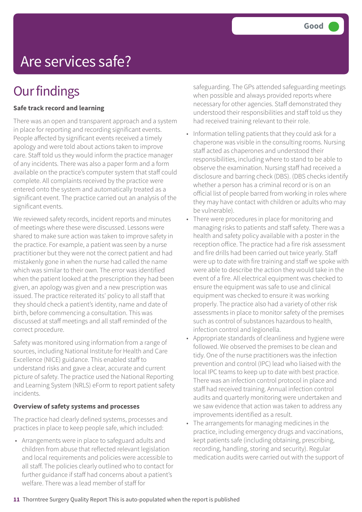# Are services safe?

# **Our findings**

### **Safe track record and learning**

There was an open and transparent approach and a system in place for reporting and recording significant events. People affected by significant events received a timely apology and were told about actions taken to improve care. Staff told us they would inform the practice manager of any incidents. There was also a paper form and a form available on the practice's computer system that staff could complete. All complaints received by the practice were entered onto the system and automatically treated as a significant event. The practice carried out an analysis of the significant events.

We reviewed safety records, incident reports and minutes of meetings where these were discussed. Lessons were shared to make sure action was taken to improve safety in the practice. For example, a patient was seen by a nurse practitioner but they were not the correct patient and had mistakenly gone in when the nurse had called the name which was similar to their own. The error was identified when the patient looked at the prescription they had been given, an apology was given and a new prescription was issued. The practice reiterated its' policy to all staff that they should check a patient's identity, name and date of birth, before commencing a consultation. This was discussed at staff meetings and all staff reminded of the correct procedure.

Safety was monitored using information from a range of sources, including National Institute for Health and Care Excellence (NICE) guidance. This enabled staff to understand risks and gave a clear, accurate and current picture of safety. The practice used the National Reporting and Learning System (NRLS) eForm to report patient safety incidents.

### **Overview of safety systems and processes**

The practice had clearly defined systems, processes and practices in place to keep people safe, which included:

• Arrangements were in place to safeguard adults and children from abuse that reflected relevant legislation and local requirements and policies were accessible to all staff. The policies clearly outlined who to contact for further guidance if staff had concerns about a patient's welfare. There was a lead member of staff for

safeguarding. The GPs attended safeguarding meetings when possible and always provided reports where necessary for other agencies. Staff demonstrated they understood their responsibilities and staff told us they had received training relevant to their role.

- Information telling patients that they could ask for a chaperone was visible in the consulting rooms. Nursing staff acted as chaperones and understood their responsibilities, including where to stand to be able to observe the examination. Nursing staff had received a disclosure and barring check (DBS). (DBS checks identify whether a person has a criminal record or is on an official list of people barred from working in roles where they may have contact with children or adults who may be vulnerable).
- There were procedures in place for monitoring and managing risks to patients and staff safety. There was a health and safety policy available with a poster in the reception office. The practice had a fire risk assessment and fire drills had been carried out twice yearly. Staff were up to date with fire training and staff we spoke with were able to describe the action they would take in the event of a fire. All electrical equipment was checked to ensure the equipment was safe to use and clinical equipment was checked to ensure it was working properly. The practice also had a variety of other risk assessments in place to monitor safety of the premises such as control of substances hazardous to health, infection control and legionella.
- Appropriate standards of cleanliness and hygiene were followed. We observed the premises to be clean and tidy. One of the nurse practitioners was the infection prevention and control (IPC) lead who liaised with the local IPC teams to keep up to date with best practice. There was an infection control protocol in place and staff had received training. Annual infection control audits and quarterly monitoring were undertaken and we saw evidence that action was taken to address any improvements identified as a result.
- The arrangements for managing medicines in the practice, including emergency drugs and vaccinations, kept patients safe (including obtaining, prescribing, recording, handling, storing and security). Regular medication audits were carried out with the support of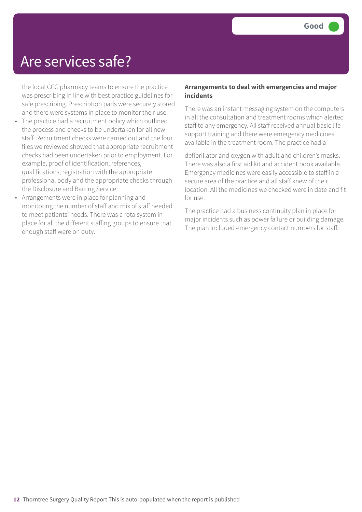### Are services safe?

the local CCG pharmacy teams to ensure the practice was prescribing in line with best practice guidelines for safe prescribing. Prescription pads were securely stored and there were systems in place to monitor their use.

- The practice had a recruitment policy which outlined the process and checks to be undertaken for all new staff. Recruitment checks were carried out and the four files we reviewed showed that appropriate recruitment checks had been undertaken prior to employment. For example, proof of identification, references, qualifications, registration with the appropriate professional body and the appropriate checks through the Disclosure and Barring Service.
- Arrangements were in place for planning and monitoring the number of staff and mix of staff needed to meet patients' needs. There was a rota system in place for all the different staffing groups to ensure that enough staff were on duty.

### **Arrangements to deal with emergencies and major incidents**

There was an instant messaging system on the computers in all the consultation and treatment rooms which alerted staff to any emergency. All staff received annual basic life support training and there were emergency medicines available in the treatment room. The practice had a

defibrillator and oxygen with adult and children's masks. There was also a first aid kit and accident book available. Emergency medicines were easily accessible to staff in a secure area of the practice and all staff knew of their location. All the medicines we checked were in date and fit for use.

The practice had a business continuity plan in place for major incidents such as power failure or building damage. The plan included emergency contact numbers for staff.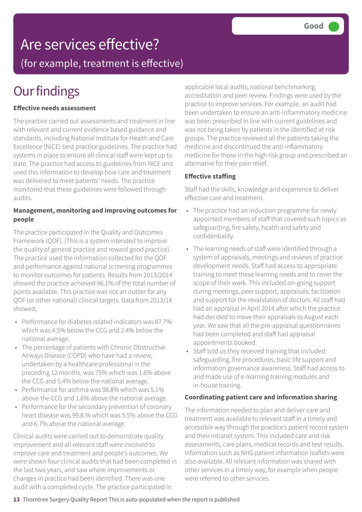# Are services effective?

(for example, treatment is effective)

# **Our findings**

### **Effective needs assessment**

The practice carried out assessments and treatment in line with relevant and current evidence based guidance and standards, including National Institute for Health and Care Excellence (NICE) best practice guidelines. The practice had systems in place to ensure all clinical staff were kept up to date. The practice had access to guidelines from NICE and used this information to develop how care and treatment was delivered to meet patients' needs. The practice monitored that these guidelines were followed through audits.

### **Management, monitoring and improving outcomes for people**

The practice participated in the Quality and Outcomes Framework (QOF). (This is a system intended to improve the quality of general practice and reward good practice). The practice used the information collected for the QOF and performance against national screening programmes to monitor outcomes for patients. Results from 2013/2014 showed the practice achieved 96.1% of the total number of points available. This practice was not an outlier for any QOF (or other national) clinical targets. Data from 2013/14 showed;

- Performance for diabetes related indicators was 87.7% which was 4.5% below the CCG and 2.4% below the national average.
- The percentage of patients with Chronic Obstructive Airways Disease (COPD) who have had a review, undertaken by a healthcare professional in the preceding 12 months, was 75% which was 1.6% above the CCG and 5.4% below the national average.
- Performance for asthma was 98.8% which was 5.1% above the CCG and 1.6% above the national average.
- Performance for the secondary prevention of coronary heart disease was 99.8.% which was 5.5% above the CCG and 6.7% above the national average.

Clinical audits were carried out to demonstrate quality improvement and all relevant staff were involved to improve care and treatment and people's outcomes. We were shown four clinical audits that had been completed in the last two years, and saw where improvements or changes in practice had been identified. There was one audit with a completed cycle. The practice participated in

applicable local audits, national benchmarking, accreditation and peer review. Findings were used by the practice to improve services. For example, an audit had been undertaken to ensure an anti-inflammatory medicine was been prescribed in line with current guidelines and was not being taken by patients in the identified at risk groups. The practice reviewed all the patients taking the medicine and discontinued the anti-inflammatory medicine for those in the high risk group and prescribed an alternative for their pain relief.

### **Effective staffing**

Staff had the skills, knowledge and experience to deliver effective care and treatment.

- The practice had an induction programme for newly appointed members of staff that covered such topics as safeguarding, fire safety, health and safety and confidentiality.
- The learning needs of staff were identified through a system of appraisals, meetings and reviews of practice development needs. Staff had access to appropriate training to meet these learning needs and to cover the scope of their work. This included on-going support during meetings, peer support, appraisals, facilitation and support for the revalidation of doctors. All staff had had an appraisal in April 2014 after which the practice had decided to move their appraisals to August each year. We saw that all the pre-appraisal questionnaires had been completed and staff had appraisal appointments booked.
- Staff told us they received training that included: safeguarding, fire procedures, basic life support and information governance awareness. Staff had access to and made use of e-learning training modules and in-house training.

### **Coordinating patient care and information sharing**

The information needed to plan and deliver care and treatment was available to relevant staff in a timely and accessible way through the practice's patient record system and their intranet system. This included care and risk assessments, care plans, medical records and test results. Information such as NHS patient information leaflets were also available. All relevant information was shared with other services in a timely way, for example when people were referred to other services.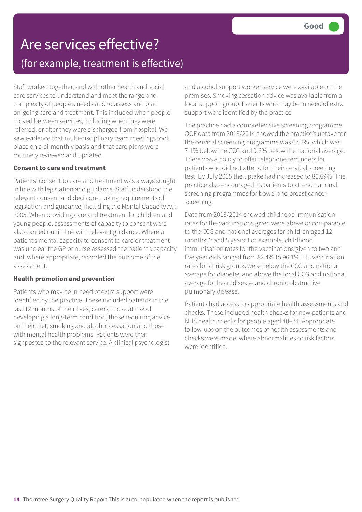# Are services effective? (for example, treatment is effective)

Staff worked together, and with other health and social care services to understand and meet the range and complexity of people's needs and to assess and plan on-going care and treatment. This included when people moved between services, including when they were referred, or after they were discharged from hospital. We saw evidence that multi-disciplinary team meetings took place on a bi-monthly basis and that care plans were routinely reviewed and updated.

### **Consent to care and treatment**

Patients' consent to care and treatment was always sought in line with legislation and guidance. Staff understood the relevant consent and decision-making requirements of legislation and guidance, including the Mental Capacity Act 2005. When providing care and treatment for children and young people, assessments of capacity to consent were also carried out in line with relevant guidance. Where a patient's mental capacity to consent to care or treatment was unclear the GP or nurse assessed the patient's capacity and, where appropriate, recorded the outcome of the assessment.

### **Health promotion and prevention**

Patients who may be in need of extra support were identified by the practice. These included patients in the last 12 months of their lives, carers, those at risk of developing a long-term condition, those requiring advice on their diet, smoking and alcohol cessation and those with mental health problems. Patients were then signposted to the relevant service. A clinical psychologist

and alcohol support worker service were available on the premises. Smoking cessation advice was available from a local support group. Patients who may be in need of extra support were identified by the practice.

The practice had a comprehensive screening programme. QOF data from 2013/2014 showed the practice's uptake for the cervical screening programme was 67.3%, which was 7.1% below the CCG and 9.6% below the national average. There was a policy to offer telephone reminders for patients who did not attend for their cervical screening test. By July 2015 the uptake had increased to 80.69%. The practice also encouraged its patients to attend national screening programmes for bowel and breast cancer screening.

Data from 2013/2014 showed childhood immunisation rates for the vaccinations given were above or comparable to the CCG and national averages for children aged 12 months, 2 and 5 years. For example, childhood immunisation rates for the vaccinations given to two and five year olds ranged from 82.4% to 96.1%. Flu vaccination rates for at risk groups were below the CCG and national average for diabetes and above the local CCG and national average for heart disease and chronic obstructive pulmonary disease.

Patients had access to appropriate health assessments and checks. These included health checks for new patients and NHS health checks for people aged 40–74. Appropriate follow-ups on the outcomes of health assessments and checks were made, where abnormalities or risk factors were identified.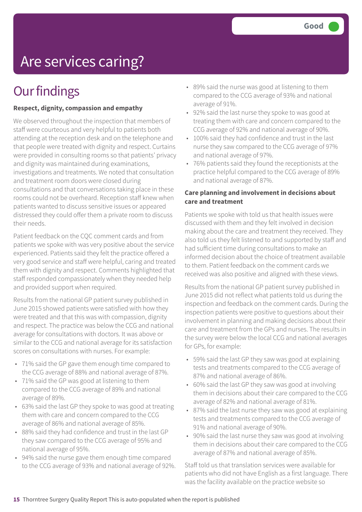# Are services caring?

# **Our findings**

### **Respect, dignity, compassion and empathy**

We observed throughout the inspection that members of staff were courteous and very helpful to patients both attending at the reception desk and on the telephone and that people were treated with dignity and respect. Curtains were provided in consulting rooms so that patients' privacy and dignity was maintained during examinations, investigations and treatments. We noted that consultation and treatment room doors were closed during consultations and that conversations taking place in these rooms could not be overheard. Reception staff knew when patients wanted to discuss sensitive issues or appeared distressed they could offer them a private room to discuss their needs.

Patient feedback on the CQC comment cards and from patients we spoke with was very positive about the service experienced. Patients said they felt the practice offered a very good service and staff were helpful, caring and treated them with dignity and respect. Comments highlighted that staff responded compassionately when they needed help and provided support when required.

Results from the national GP patient survey published in June 2015 showed patients were satisfied with how they were treated and that this was with compassion, dignity and respect. The practice was below the CCG and national average for consultations with doctors. It was above or similar to the CCG and national average for its satisfaction scores on consultations with nurses. For example:

- 71% said the GP gave them enough time compared to the CCG average of 88% and national average of 87%.
- 71% said the GP was good at listening to them compared to the CCG average of 89% and national average of 89%.
- 63% said the last GP they spoke to was good at treating them with care and concern compared to the CCG average of 86% and national average of 85%.
- 88% said they had confidence and trust in the last GP they saw compared to the CCG average of 95% and national average of 95%.
- 94% said the nurse gave them enough time compared to the CCG average of 93% and national average of 92%.
- 89% said the nurse was good at listening to them compared to the CCG average of 93% and national average of 91%.
- 92% said the last nurse they spoke to was good at treating them with care and concern compared to the CCG average of 92% and national average of 90%.
- 100% said they had confidence and trust in the last nurse they saw compared to the CCG average of 97% and national average of 97%.
- 76% patients said they found the receptionists at the practice helpful compared to the CCG average of 89% and national average of 87%.

### **Care planning and involvement in decisions about care and treatment**

Patients we spoke with told us that health issues were discussed with them and they felt involved in decision making about the care and treatment they received. They also told us they felt listened to and supported by staff and had sufficient time during consultations to make an informed decision about the choice of treatment available to them. Patient feedback on the comment cards we received was also positive and aligned with these views.

Results from the national GP patient survey published in June 2015 did not reflect what patients told us during the inspection and feedback on the comment cards. During the inspection patients were positive to questions about their involvement in planning and making decisions about their care and treatment from the GPs and nurses. The results in the survey were below the local CCG and national averages for GPs, for example:

- 59% said the last GP they saw was good at explaining tests and treatments compared to the CCG average of 87% and national average of 86%.
- 60% said the last GP they saw was good at involving them in decisions about their care compared to the CCG average of 82% and national average of 81%.
- 87% said the last nurse they saw was good at explaining tests and treatments compared to the CCG average of 91% and national average of 90%.
- 90% said the last nurse they saw was good at involving them in decisions about their care compared to the CCG average of 87% and national average of 85%.

Staff told us that translation services were available for patients who did not have English as a first language. There was the facility available on the practice website so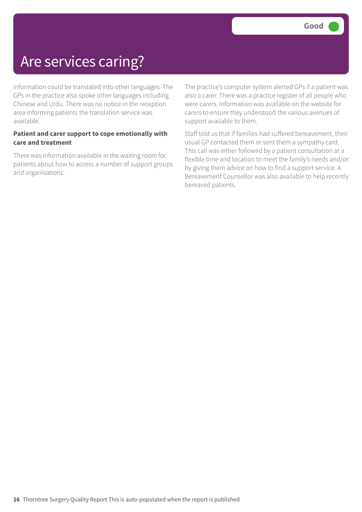# Are services caring?

information could be translated into other languages. The GPs in the practice also spoke other languages including Chinese and Urdu. There was no notice in the reception area informing patients the translation service was available.

### **Patient and carer support to cope emotionally with care and treatment**

There was information available in the waiting room for patients about how to access a number of support groups and organisations.

The practice's computer system alerted GPs if a patient was also a carer. There was a practice register of all people who were carers. Information was available on the website for carers to ensure they understood the various avenues of support available to them.

Staff told us that if families had suffered bereavement, their usual GP contacted them or sent them a sympathy card. This call was either followed by a patient consultation at a flexible time and location to meet the family's needs and/or by giving them advice on how to find a support service. A Bereavement Counsellor was also available to help recently bereaved patients.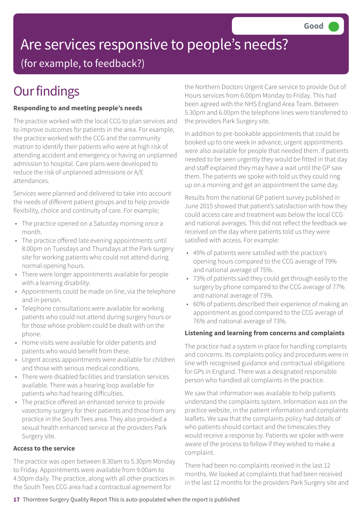# Are services responsive to people's needs?

(for example, to feedback?)

# **Our findings**

### **Responding to and meeting people's needs**

The practice worked with the local CCG to plan services and to improve outcomes for patients in the area. For example, the practice worked with the CCG and the community matron to identify their patients who were at high risk of attending accident and emergency or having an unplanned admission to hospital. Care plans were developed to reduce the risk of unplanned admissions or A/E attendances.

Services were planned and delivered to take into account the needs of different patient groups and to help provide flexibility, choice and continuity of care. For example;

- The practice opened on a Saturday morning once a month.
- The practice offered late evening appointments until 8.00pm on Tuesdays and Thursdays at the Park surgery site for working patients who could not attend during normal opening hours.
- There were longer appointments available for people with a learning disability.
- Appointments could be made on line, via the telephone and in person.
- Telephone consultations were available for working patients who could not attend during surgery hours or for those whose problem could be dealt with on the phone.
- Home visits were available for older patients and patients who would benefit from these.
- Urgent access appointments were available for children and those with serious medical conditions.
- There were disabled facilities and translation services available. There was a hearing loop available for patients who had hearing difficulties.
- The practice offered an enhanced service to provide vasectomy surgery for their patients and those from any practice in the South Tees area. They also provided a sexual health enhanced service at the providers Park Surgery site.

### **Access to the service**

The practice was open between 8.30am to 5.30pm Monday to Friday. Appointments were available from 9.00am to 4.50pm daily. The practice, along with all other practices in the South Tees CCG area had a contractual agreement for

the Northern Doctors Urgent Care service to provide Out of Hours services from 6.00pm Monday to Friday. This had been agreed with the NHS England Area Team. Between 5.30pm and 6.00pm the telephone lines were transferred to the providers Park Surgery site.

In addition to pre-bookable appointments that could be booked up to one week in advance, urgent appointments were also available for people that needed them. If patients needed to be seen urgently they would be fitted in that day and staff explained they may have a wait until the GP saw them. The patients we spoke with told us they could ring up on a morning and get an appointment the same day.

Results from the national GP patient survey published in June 2015 showed that patient's satisfaction with how they could access care and treatment was below the local CCG and national averages. This did not reflect the feedback we received on the day where patients told us they were satisfied with access. For example:

- 49% of patients were satisfied with the practice's opening hours compared to the CCG average of 79% and national average of 75%.
- 73% of patients said they could get through easily to the surgery by phone compared to the CCG average of 77% and national average of 73%.
- 60% of patients described their experience of making an appointment as good compared to the CCG average of 76% and national average of 73%.

### **Listening and learning from concerns and complaints**

The practice had a system in place for handling complaints and concerns. Its complaints policy and procedures were in line with recognised guidance and contractual obligations for GPs in England. There was a designated responsible person who handled all complaints in the practice.

We saw that information was available to help patients understand the complaints system. Information was on the practice website, in the patient information and complaints leaflets. We saw that the complaints policy had details of who patients should contact and the timescales they would receive a response by. Patients we spoke with were aware of the process to follow if they wished to make a complaint.

There had been no complaints received in the last 12 months. We looked at complaints that had been received in the last 12 months for the providers Park Surgery site and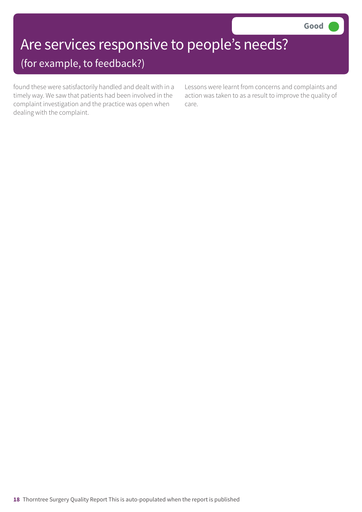# Are services responsive to people's needs?

### (for example, to feedback?)

found these were satisfactorily handled and dealt with in a timely way. We saw that patients had been involved in the complaint investigation and the practice was open when dealing with the complaint.

Lessons were learnt from concerns and complaints and action was taken to as a result to improve the quality of care.